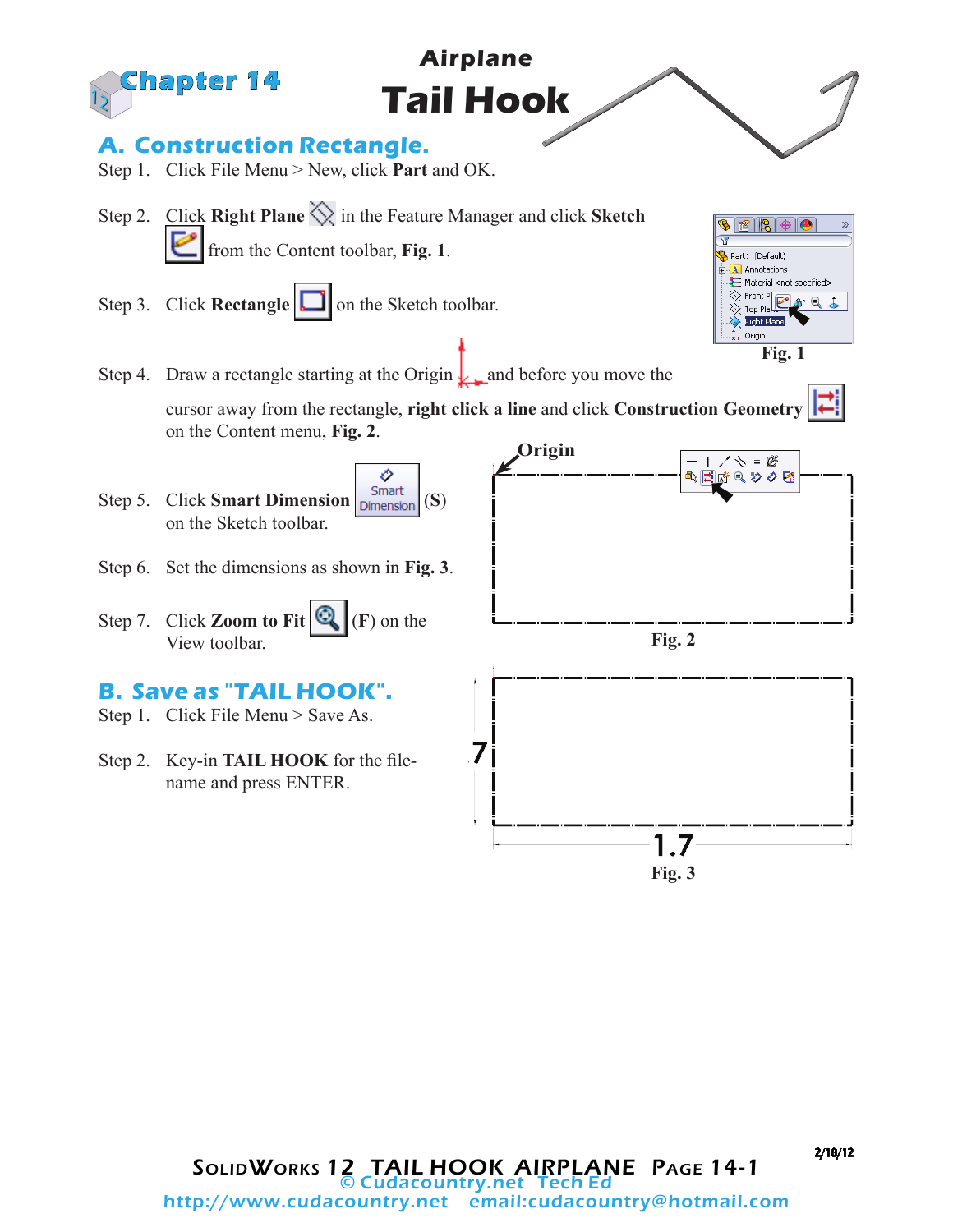

2/18/12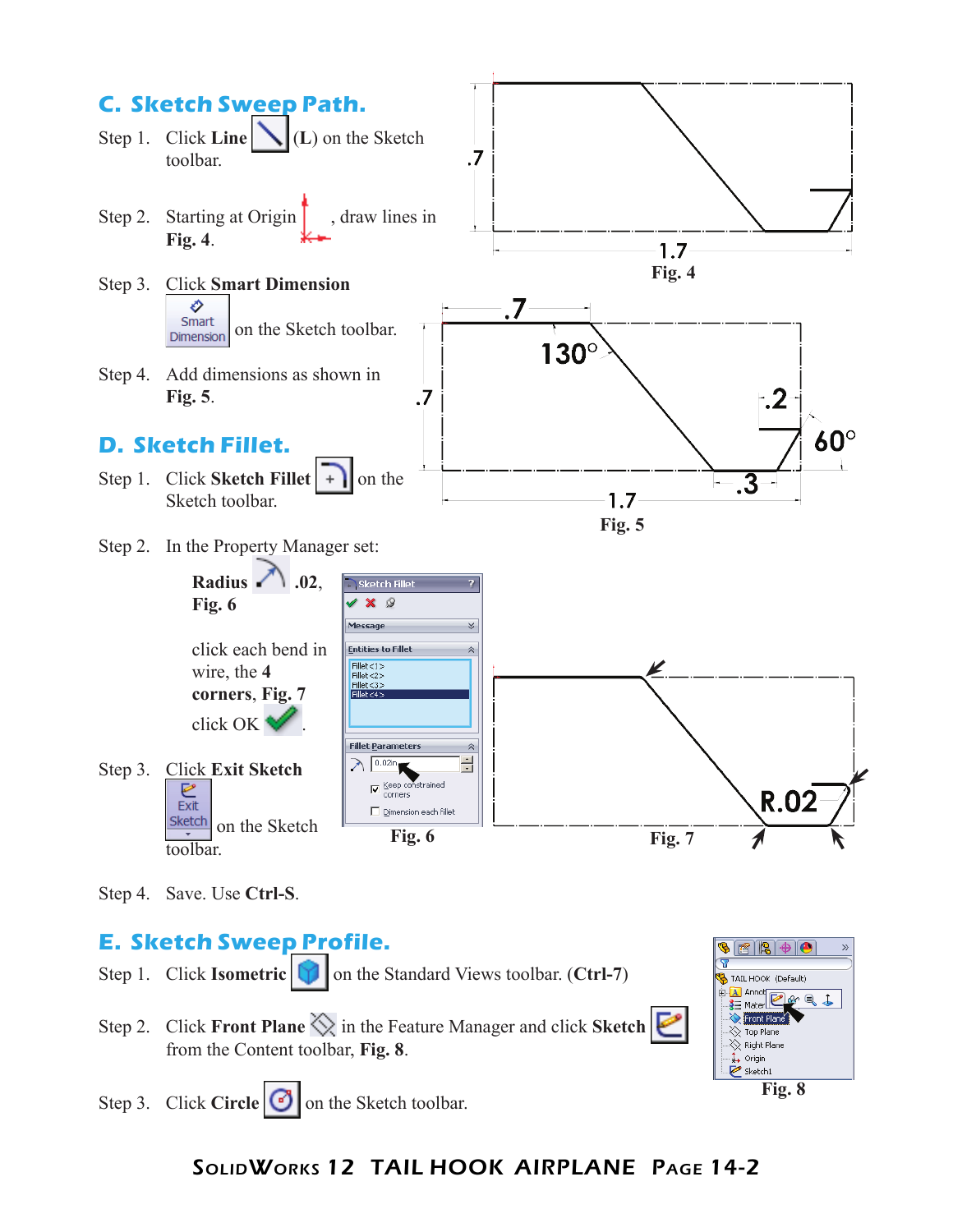

Step 4. Save. Use **Ctrl-S**.

# **E. Sketch Sweep Profile.**

- Step 1. Click **Isometric on** the Standard Views toolbar. (Ctrl-7)
- Step 2. Click **Front Plane**  $\Diamond$  in the Feature Manager and click **Sketch** from the Content toolbar, **Fig. 8**.
- **OEEEF** TAIL HOOK (Default) **E Al Annot**<br>**B** = Mater **C** or Q + Front Plane Top Plane  $\overline{\diamondsuit}$  Right Plane ↓ Origin Sketch1

**Fig. 8**

Step 3. Click **Circle o** on the Sketch toolbar.

# SolidWorks 12 TAIL HOOK AIRPLANE Page 14-2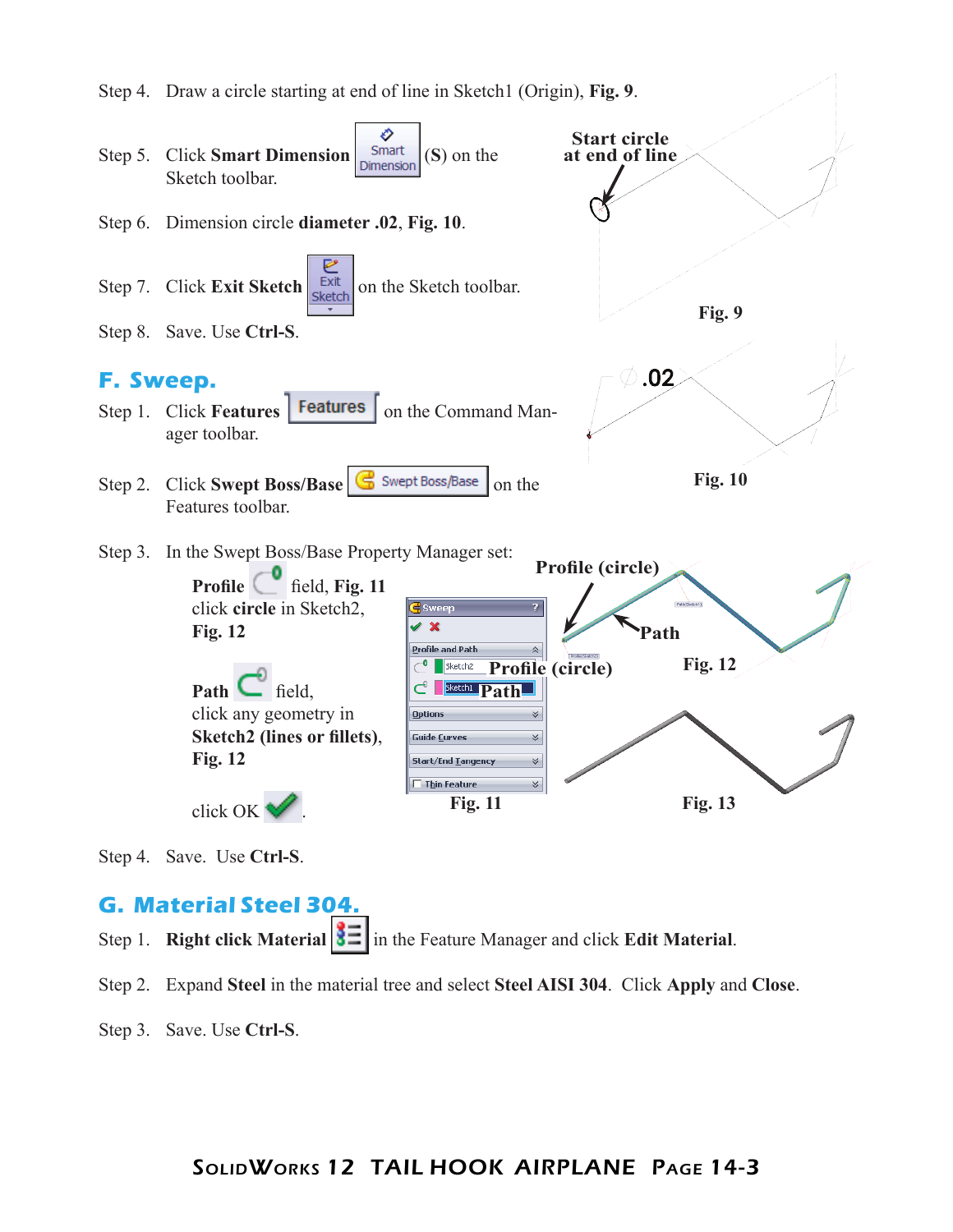

Step 4. Save. Use **Ctrl-S**.

### **G. Material Steel 304.**

- Step 1. **Right click Material**  $\left| \frac{3}{2} \right|$  in the Feature Manager and click **Edit Material**.
- Step 2. Expand **Steel** in the material tree and select **Steel AISI 304**. Click **Apply** and **Close**.
- Step 3. Save. Use **Ctrl-S**.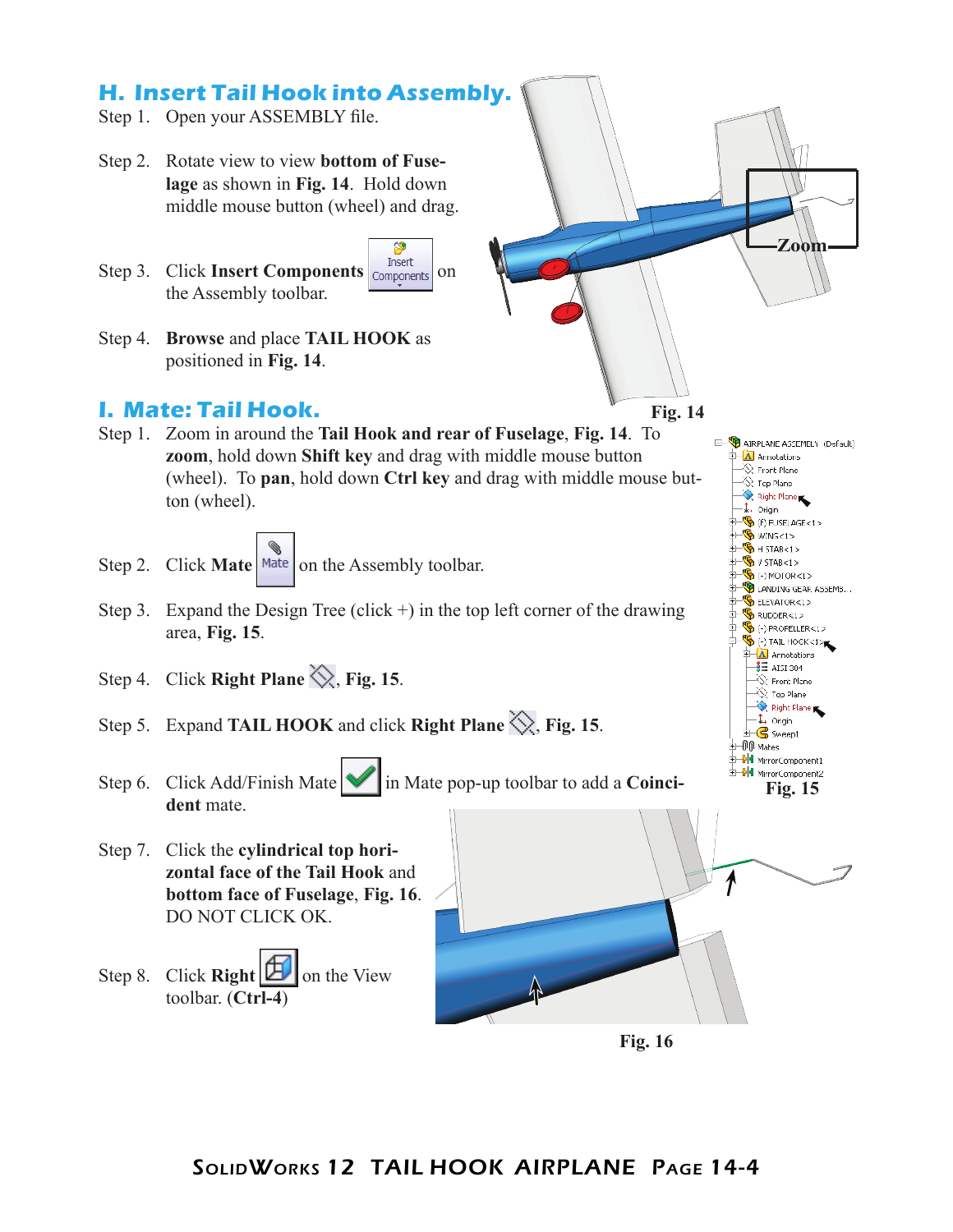

- Step 1. Open your ASSEMBLY file.
- Step 2. Rotate view to view **bottom of Fuselage** as shown in **Fig. 14**. Hold down middle mouse button (wheel) and drag.
- Step 3. Click **Insert Components Components** on the Assembly toolbar.
- Step 4. **Browse** and place **TAIL HOOK** as positioned in **Fig. 14**.

#### **I. Mate: Tail Hook.**



**Zoom**

E- AIRPLANE ASSEMBLY (Default)  $\mathbb{H}$  Annotations  $\otimes$  Front Plane  $\stackrel{\scriptstyle >}{\phantom{}_{\sim}}$  Top Plane.  $\sum_{t}$  Right Plane  $-\frac{1}{2}$  Origin  $\mathbf{B}$  (f) FUSELAGE <1> **E- SWING<1>** H STAB<1>  $\frac{1}{2}$  V STAB<1>  $\overline{\text{H}}$  (-) MOTOR<1> LANDING GEAR ASSEMB...  $\mathbf{B}$  ELEVATOR<1> RUDDER<1>  $\overline{\mathbf{P}}$  (-) PROPELLER<1>  $\frac{1}{2}$   $\frac{1}{2}$  TAIL HOOK<1>  $\overrightarrow{A}$  Annotations  $\frac{3}{2}$  AISI 304  $\otimes$  Front Plane  $\bigotimes$  Top Plane  $\leftarrow$  Right Plane  $-\frac{1}{2}$  Origin  $\mathbf{B}$  Sweep1 **+00** Mates **DU** MirrorComponent1

- Step 1. Zoom in around the **Tail Hook and rear of Fuselage**, **Fig. 14**. To **zoom**, hold down **Shift key** and drag with middle mouse button (wheel). To **pan**, hold down **Ctrl key** and drag with middle mouse button (wheel).
- Step 2. Click **Mate** Mate on the Assembly toolbar.
- Step 3. Expand the Design Tree (click  $+$ ) in the top left corner of the drawing area, **Fig. 15**.
- Step 4. Click **Right Plane**  $\Diamond$ , **Fig. 15**.
- Step 5. Expand **TAIL HOOK** and click **Right Plane**  $\Diamond$ , **Fig. 15**.
- Step 6. Click Add/Finish Mate **in** Mate pop-up toolbar to add a **Coinci**dent mate.
- Step 7. Click the **cylindrical top horizontal face of the Tail Hook** and **bottom face of Fuselage**, **Fig. 16**. DO NOT CLICK OK.
- Step 8. Click **Right**  $\mathbb{E}$  on the View toolbar. (**Ctrl-4**)



**Fig. 16**